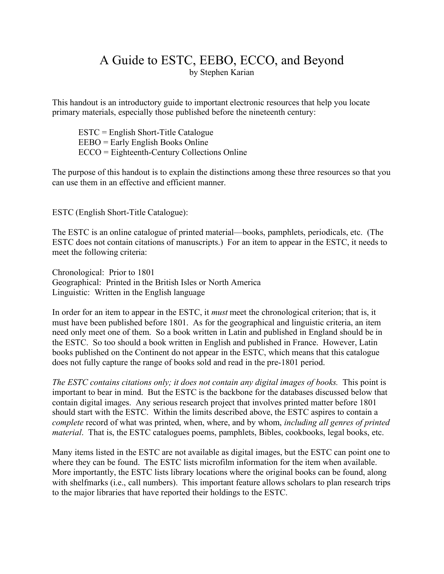# A Guide to ESTC, EEBO, ECCO, and Beyond by Stephen Karian

This handout is an introductory guide to important electronic resources that help you locate primary materials, especially those published before the nineteenth century:

ESTC = English Short-Title Catalogue EEBO = Early English Books Online ECCO = Eighteenth-Century Collections Online

The purpose of this handout is to explain the distinctions among these three resources so that you can use them in an effective and efficient manner.

ESTC (English Short-Title Catalogue):

The ESTC is an online catalogue of printed material—books, pamphlets, periodicals, etc. (The ESTC does not contain citations of manuscripts.) For an item to appear in the ESTC, it needs to meet the following criteria:

Chronological: Prior to 1801 Geographical: Printed in the British Isles or North America Linguistic: Written in the English language

In order for an item to appear in the ESTC, it *must* meet the chronological criterion; that is, it must have been published before 1801. As for the geographical and linguistic criteria, an item need only meet one of them. So a book written in Latin and published in England should be in the ESTC. So too should a book written in English and published in France. However, Latin books published on the Continent do not appear in the ESTC, which means that this catalogue does not fully capture the range of books sold and read in the pre-1801 period.

*The ESTC contains citations only; it does not contain any digital images of books.* This point is important to bear in mind. But the ESTC is the backbone for the databases discussed below that contain digital images. Any serious research project that involves printed matter before 1801 should start with the ESTC. Within the limits described above, the ESTC aspires to contain a *complete* record of what was printed, when, where, and by whom, *including all genres of printed material*. That is, the ESTC catalogues poems, pamphlets, Bibles, cookbooks, legal books, etc.

Many items listed in the ESTC are not available as digital images, but the ESTC can point one to where they can be found. The ESTC lists microfilm information for the item when available. More importantly, the ESTC lists library locations where the original books can be found, along with shelfmarks (i.e., call numbers). This important feature allows scholars to plan research trips to the major libraries that have reported their holdings to the ESTC.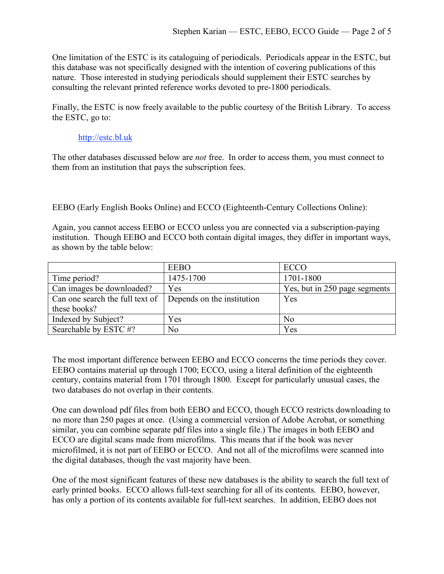One limitation of the ESTC is its cataloguing of periodicals. Periodicals appear in the ESTC, but this database was not specifically designed with the intention of covering publications of this nature. Those interested in studying periodicals should supplement their ESTC searches by consulting the relevant printed reference works devoted to pre-1800 periodicals.

Finally, the ESTC is now freely available to the public courtesy of the British Library. To access the ESTC, go to:

## http://estc.bl.uk

The other databases discussed below are *not* free. In order to access them, you must connect to them from an institution that pays the subscription fees.

EEBO (Early English Books Online) and ECCO (Eighteenth-Century Collections Online):

Again, you cannot access EEBO or ECCO unless you are connected via a subscription-paying institution. Though EEBO and ECCO both contain digital images, they differ in important ways, as shown by the table below:

|                                 | <b>EEBO</b>                | <b>ECCO</b>                   |
|---------------------------------|----------------------------|-------------------------------|
| Time period?                    | 1475-1700                  | 1701-1800                     |
| Can images be downloaded?       | Yes                        | Yes, but in 250 page segments |
| Can one search the full text of | Depends on the institution | Yes                           |
| these books?                    |                            |                               |
| Indexed by Subject?             | Yes                        | No                            |
| Searchable by ESTC#?            | N <sub>0</sub>             | Yes                           |

The most important difference between EEBO and ECCO concerns the time periods they cover. EEBO contains material up through 1700; ECCO, using a literal definition of the eighteenth century, contains material from 1701 through 1800. Except for particularly unusual cases, the two databases do not overlap in their contents.

One can download pdf files from both EEBO and ECCO, though ECCO restricts downloading to no more than 250 pages at once. (Using a commercial version of Adobe Acrobat, or something similar, you can combine separate pdf files into a single file.) The images in both EEBO and ECCO are digital scans made from microfilms. This means that if the book was never microfilmed, it is not part of EEBO or ECCO. And not all of the microfilms were scanned into the digital databases, though the vast majority have been.

One of the most significant features of these new databases is the ability to search the full text of early printed books. ECCO allows full-text searching for all of its contents. EEBO, however, has only a portion of its contents available for full-text searches. In addition, EEBO does not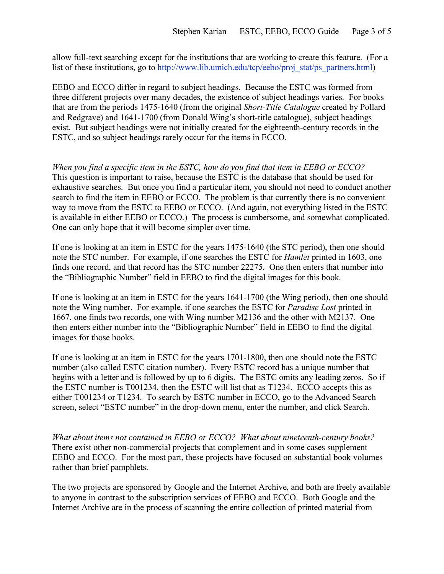allow full-text searching except for the institutions that are working to create this feature. (For a list of these institutions, go to http://www.lib.umich.edu/tcp/eebo/proj\_stat/ps\_partners.html)

EEBO and ECCO differ in regard to subject headings. Because the ESTC was formed from three different projects over many decades, the existence of subject headings varies. For books that are from the periods 1475-1640 (from the original *Short-Title Catalogue* created by Pollard and Redgrave) and 1641-1700 (from Donald Wing's short-title catalogue), subject headings exist. But subject headings were not initially created for the eighteenth-century records in the ESTC, and so subject headings rarely occur for the items in ECCO.

*When you find a specific item in the ESTC, how do you find that item in EEBO or ECCO?* This question is important to raise, because the ESTC is the database that should be used for exhaustive searches. But once you find a particular item, you should not need to conduct another search to find the item in EEBO or ECCO. The problem is that currently there is no convenient way to move from the ESTC to EEBO or ECCO. (And again, not everything listed in the ESTC is available in either EEBO or ECCO.) The process is cumbersome, and somewhat complicated. One can only hope that it will become simpler over time.

If one is looking at an item in ESTC for the years 1475-1640 (the STC period), then one should note the STC number. For example, if one searches the ESTC for *Hamlet* printed in 1603, one finds one record, and that record has the STC number 22275. One then enters that number into the "Bibliographic Number" field in EEBO to find the digital images for this book.

If one is looking at an item in ESTC for the years 1641-1700 (the Wing period), then one should note the Wing number. For example, if one searches the ESTC for *Paradise Lost* printed in 1667, one finds two records, one with Wing number M2136 and the other with M2137. One then enters either number into the "Bibliographic Number" field in EEBO to find the digital images for those books.

If one is looking at an item in ESTC for the years 1701-1800, then one should note the ESTC number (also called ESTC citation number). Every ESTC record has a unique number that begins with a letter and is followed by up to 6 digits. The ESTC omits any leading zeros. So if the ESTC number is T001234, then the ESTC will list that as T1234. ECCO accepts this as either T001234 or T1234. To search by ESTC number in ECCO, go to the Advanced Search screen, select "ESTC number" in the drop-down menu, enter the number, and click Search.

*What about items not contained in EEBO or ECCO? What about nineteenth-century books?* There exist other non-commercial projects that complement and in some cases supplement EEBO and ECCO. For the most part, these projects have focused on substantial book volumes rather than brief pamphlets.

The two projects are sponsored by Google and the Internet Archive, and both are freely available to anyone in contrast to the subscription services of EEBO and ECCO. Both Google and the Internet Archive are in the process of scanning the entire collection of printed material from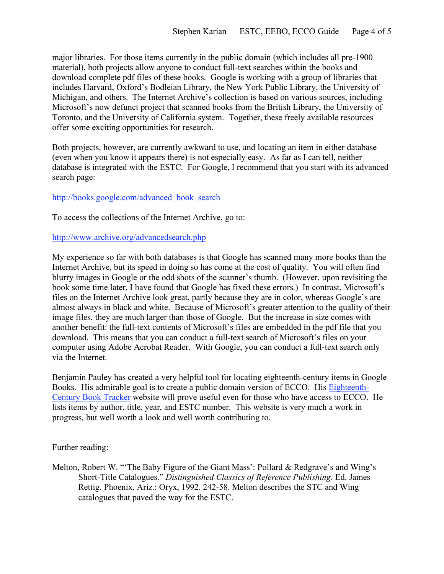major libraries. For those items currently in the public domain (which includes all pre-1900 material), both projects allow anyone to conduct full-text searches within the books and download complete pdf files of these books. Google is working with a group of libraries that includes Harvard, Oxford's Bodleian Library, the New York Public Library, the University of Michigan, and others. The Internet Archive's collection is based on various sources, including Microsoft's now defunct project that scanned books from the British Library, the University of Toronto, and the University of California system. Together, these freely available resources offer some exciting opportunities for research.

Both projects, however, are currently awkward to use, and locating an item in either database (even when you know it appears there) is not especially easy. As far as I can tell, neither database is integrated with the ESTC. For Google, I recommend that you start with its advanced search page:

### http://books.google.com/advanced\_book\_search

To access the collections of the Internet Archive, go to:

#### http://www.archive.org/advancedsearch.php

My experience so far with both databases is that Google has scanned many more books than the Internet Archive, but its speed in doing so has come at the cost of quality. You will often find blurry images in Google or the odd shots of the scanner's thumb. (However, upon revisiting the book some time later, I have found that Google has fixed these errors.) In contrast, Microsoft's files on the Internet Archive look great, partly because they are in color, whereas Google's are almost always in black and white. Because of Microsoft's greater attention to the quality of their image files, they are much larger than those of Google. But the increase in size comes with another benefit: the full-text contents of Microsoft's files are embedded in the pdf file that you download. This means that you can conduct a full-text search of Microsoft's files on your computer using Adobe Acrobat Reader. With Google, you can conduct a full-text search only via the Internet.

Benjamin Pauley has created a very helpful tool for locating eighteenth-century items in Google Books. His admirable goal is to create a public domain version of ECCO. His Eighteenth-Century Book Tracker website will prove useful even for those who have access to ECCO. He lists items by author, title, year, and ESTC number. This website is very much a work in progress, but well worth a look and well worth contributing to.

### Further reading:

Melton, Robert W. "'The Baby Figure of the Giant Mass': Pollard & Redgrave's and Wing's Short-Title Catalogues." *Distinguished Classics of Reference Publishing*. Ed. James Rettig. Phoenix, Ariz.: Oryx, 1992. 242-58. Melton describes the STC and Wing catalogues that paved the way for the ESTC.